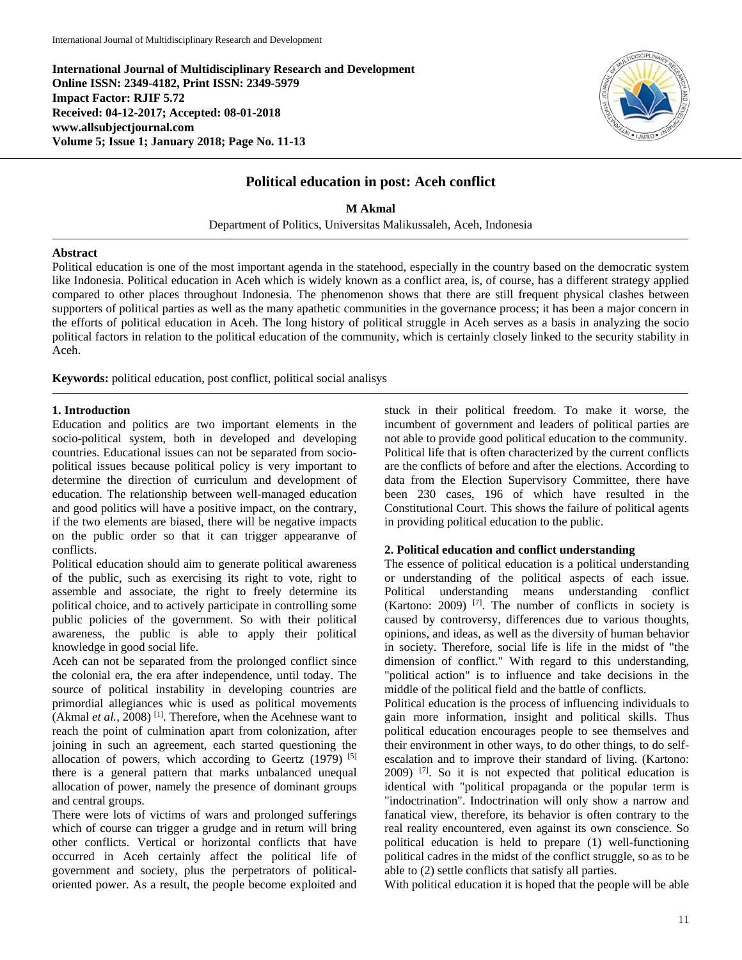**International Journal of Multidisciplinary Research and Development Online ISSN: 2349-4182, Print ISSN: 2349-5979 Impact Factor: RJIF 5.72 Received: 04-12-2017; Accepted: 08-01-2018 www.allsubjectjournal.com Volume 5; Issue 1; January 2018; Page No. 11-13**



# **Political education in post: Aceh conflict**

**M Akmal**

Department of Politics, Universitas Malikussaleh, Aceh, Indonesia

#### **Abstract**

Political education is one of the most important agenda in the statehood, especially in the country based on the democratic system like Indonesia. Political education in Aceh which is widely known as a conflict area, is, of course, has a different strategy applied compared to other places throughout Indonesia. The phenomenon shows that there are still frequent physical clashes between supporters of political parties as well as the many apathetic communities in the governance process; it has been a major concern in the efforts of political education in Aceh. The long history of political struggle in Aceh serves as a basis in analyzing the socio political factors in relation to the political education of the community, which is certainly closely linked to the security stability in Aceh.

**Keywords:** political education, post conflict, political social analisys

#### **1. Introduction**

Education and politics are two important elements in the socio-political system, both in developed and developing countries. Educational issues can not be separated from sociopolitical issues because political policy is very important to determine the direction of curriculum and development of education. The relationship between well-managed education and good politics will have a positive impact, on the contrary, if the two elements are biased, there will be negative impacts on the public order so that it can trigger appearanve of conflicts.

Political education should aim to generate political awareness of the public, such as exercising its right to vote, right to assemble and associate, the right to freely determine its political choice, and to actively participate in controlling some public policies of the government. So with their political awareness, the public is able to apply their political knowledge in good social life.

Aceh can not be separated from the prolonged conflict since the colonial era, the era after independence, until today. The source of political instability in developing countries are primordial allegiances whic is used as political movements (Akmal *et al.*, 2008)<sup>[1]</sup>. Therefore, when the Acehnese want to reach the point of culmination apart from colonization, after joining in such an agreement, each started questioning the allocation of powers, which according to Geertz  $(1979)$ <sup>[5]</sup> there is a general pattern that marks unbalanced unequal allocation of power, namely the presence of dominant groups and central groups.

There were lots of victims of wars and prolonged sufferings which of course can trigger a grudge and in return will bring other conflicts. Vertical or horizontal conflicts that have occurred in Aceh certainly affect the political life of government and society, plus the perpetrators of politicaloriented power. As a result, the people become exploited and stuck in their political freedom. To make it worse, the incumbent of government and leaders of political parties are not able to provide good political education to the community. Political life that is often characterized by the current conflicts are the conflicts of before and after the elections. According to data from the Election Supervisory Committee, there have been 230 cases, 196 of which have resulted in the Constitutional Court. This shows the failure of political agents in providing political education to the public.

#### **2. Political education and conflict understanding**

The essence of political education is a political understanding or understanding of the political aspects of each issue. Political understanding means understanding conflict (Kartono: 2009) [7]. The number of conflicts in society is caused by controversy, differences due to various thoughts, opinions, and ideas, as well as the diversity of human behavior in society. Therefore, social life is life in the midst of "the dimension of conflict." With regard to this understanding, "political action" is to influence and take decisions in the middle of the political field and the battle of conflicts.

Political education is the process of influencing individuals to gain more information, insight and political skills. Thus political education encourages people to see themselves and their environment in other ways, to do other things, to do selfescalation and to improve their standard of living. (Kartono: 2009) [7]. So it is not expected that political education is identical with "political propaganda or the popular term is "indoctrination". Indoctrination will only show a narrow and fanatical view, therefore, its behavior is often contrary to the real reality encountered, even against its own conscience. So political education is held to prepare (1) well-functioning political cadres in the midst of the conflict struggle, so as to be able to (2) settle conflicts that satisfy all parties.

With political education it is hoped that the people will be able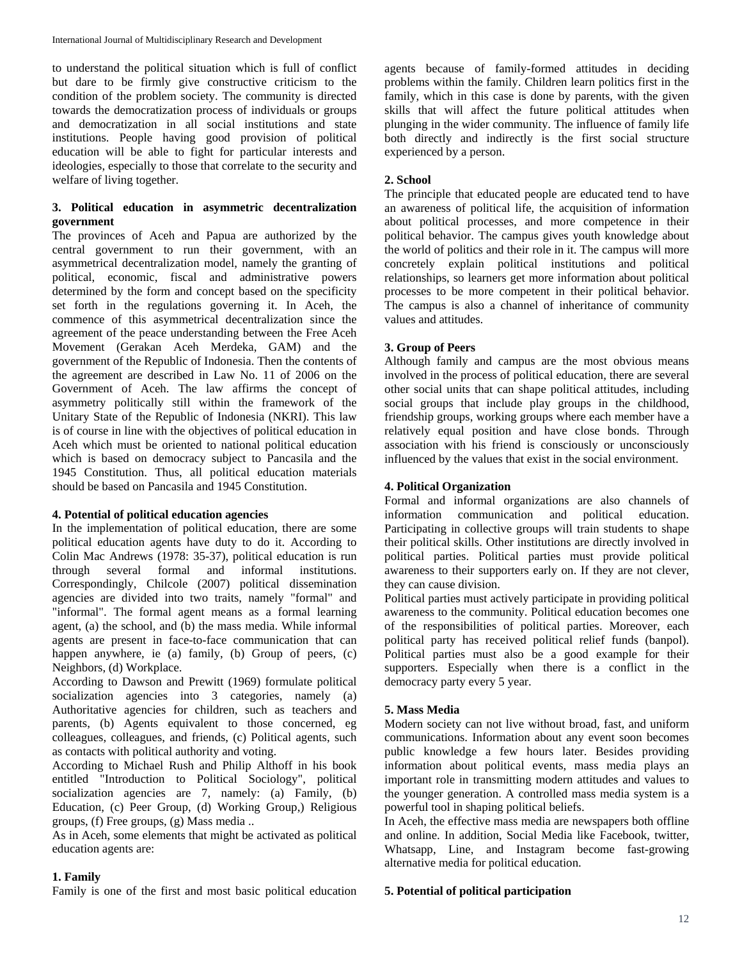to understand the political situation which is full of conflict but dare to be firmly give constructive criticism to the condition of the problem society. The community is directed towards the democratization process of individuals or groups and democratization in all social institutions and state institutions. People having good provision of political education will be able to fight for particular interests and ideologies, especially to those that correlate to the security and welfare of living together.

# **3. Political education in asymmetric decentralization government**

The provinces of Aceh and Papua are authorized by the central government to run their government, with an asymmetrical decentralization model, namely the granting of political, economic, fiscal and administrative powers determined by the form and concept based on the specificity set forth in the regulations governing it. In Aceh, the commence of this asymmetrical decentralization since the agreement of the peace understanding between the Free Aceh Movement (Gerakan Aceh Merdeka, GAM) and the government of the Republic of Indonesia. Then the contents of the agreement are described in Law No. 11 of 2006 on the Government of Aceh. The law affirms the concept of asymmetry politically still within the framework of the Unitary State of the Republic of Indonesia (NKRI). This law is of course in line with the objectives of political education in Aceh which must be oriented to national political education which is based on democracy subject to Pancasila and the 1945 Constitution. Thus, all political education materials should be based on Pancasila and 1945 Constitution.

#### **4. Potential of political education agencies**

In the implementation of political education, there are some political education agents have duty to do it. According to Colin Mac Andrews (1978: 35-37), political education is run through several formal and informal institutions. Correspondingly, Chilcole (2007) political dissemination agencies are divided into two traits, namely "formal" and "informal". The formal agent means as a formal learning agent, (a) the school, and (b) the mass media. While informal agents are present in face-to-face communication that can happen anywhere, ie (a) family, (b) Group of peers, (c) Neighbors, (d) Workplace.

According to Dawson and Prewitt (1969) formulate political socialization agencies into 3 categories, namely (a) Authoritative agencies for children, such as teachers and parents, (b) Agents equivalent to those concerned, eg colleagues, colleagues, and friends, (c) Political agents, such as contacts with political authority and voting.

According to Michael Rush and Philip Althoff in his book entitled "Introduction to Political Sociology", political socialization agencies are 7, namely: (a) Family, (b) Education, (c) Peer Group, (d) Working Group,) Religious groups, (f) Free groups, (g) Mass media ..

As in Aceh, some elements that might be activated as political education agents are:

#### **1. Family**

Family is one of the first and most basic political education

agents because of family-formed attitudes in deciding problems within the family. Children learn politics first in the family, which in this case is done by parents, with the given skills that will affect the future political attitudes when plunging in the wider community. The influence of family life both directly and indirectly is the first social structure experienced by a person.

# **2. School**

The principle that educated people are educated tend to have an awareness of political life, the acquisition of information about political processes, and more competence in their political behavior. The campus gives youth knowledge about the world of politics and their role in it. The campus will more concretely explain political institutions and political relationships, so learners get more information about political processes to be more competent in their political behavior. The campus is also a channel of inheritance of community values and attitudes.

### **3. Group of Peers**

Although family and campus are the most obvious means involved in the process of political education, there are several other social units that can shape political attitudes, including social groups that include play groups in the childhood, friendship groups, working groups where each member have a relatively equal position and have close bonds. Through association with his friend is consciously or unconsciously influenced by the values that exist in the social environment.

### **4. Political Organization**

Formal and informal organizations are also channels of information communication and political education. Participating in collective groups will train students to shape their political skills. Other institutions are directly involved in political parties. Political parties must provide political awareness to their supporters early on. If they are not clever, they can cause division.

Political parties must actively participate in providing political awareness to the community. Political education becomes one of the responsibilities of political parties. Moreover, each political party has received political relief funds (banpol). Political parties must also be a good example for their supporters. Especially when there is a conflict in the democracy party every 5 year.

### **5. Mass Media**

Modern society can not live without broad, fast, and uniform communications. Information about any event soon becomes public knowledge a few hours later. Besides providing information about political events, mass media plays an important role in transmitting modern attitudes and values to the younger generation. A controlled mass media system is a powerful tool in shaping political beliefs.

In Aceh, the effective mass media are newspapers both offline and online. In addition, Social Media like Facebook, twitter, Whatsapp, Line, and Instagram become fast-growing alternative media for political education.

#### **5. Potential of political participation**